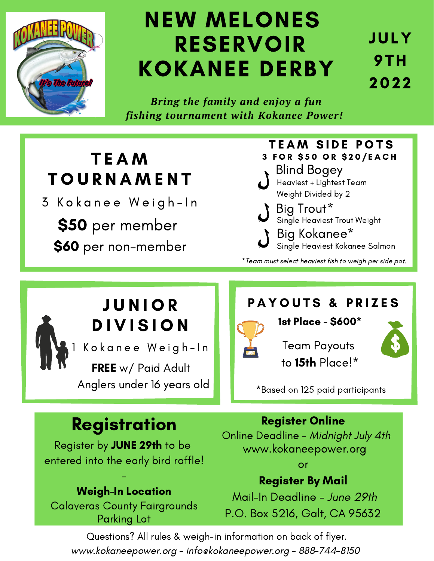

# NEW MELONES RESERVOIR KOKANEE DERBY

JULY 9TH 2022

*Bring the family and enjoy a fun fishing tournament with Kokanee Power!*

## T E A M **TOURNAMENT**

3 Kokanee Weigh-In

\$50 per member \$60 per non-member

#### Heaviest + Lightest Team Weight Divided by 2 **TEAM SIDE POTS** 3 FOR \$50 OR \$20/EACH Blind Bogey

Big Trout\* Single Heaviest Trout Weight Big Kokanee\*

Single Heaviest Kokanee Salmon

\*Team must select heaviest fish to weigh per side pot.

## J U N I O R **DIVISION**

Kokanee Weigh-In

FREE w/ Paid Adult Anglers under 16 years old

#### PAYOUTS & PRIZES



1st Place - \$600\*

Team Payouts to 15th Place!\*

\*Based on 125 paid participants

## Registration

Register by JUNE 29th to be entered into the early bird raffle!

#### Weigh-In Location

-

Calaveras County Fairgrounds Parking Lot

Register Online

Online Deadline - Midnight July 4th www.kokaneepower.org

or

#### Register By Mail

Mail-In Deadline - June 29th P.O. Box 5216, Galt, CA 95632

Questions? All rules & weigh-in information on back of flyer. www.kokaneepower.org - info@kokaneepower.org - 888-744-8150